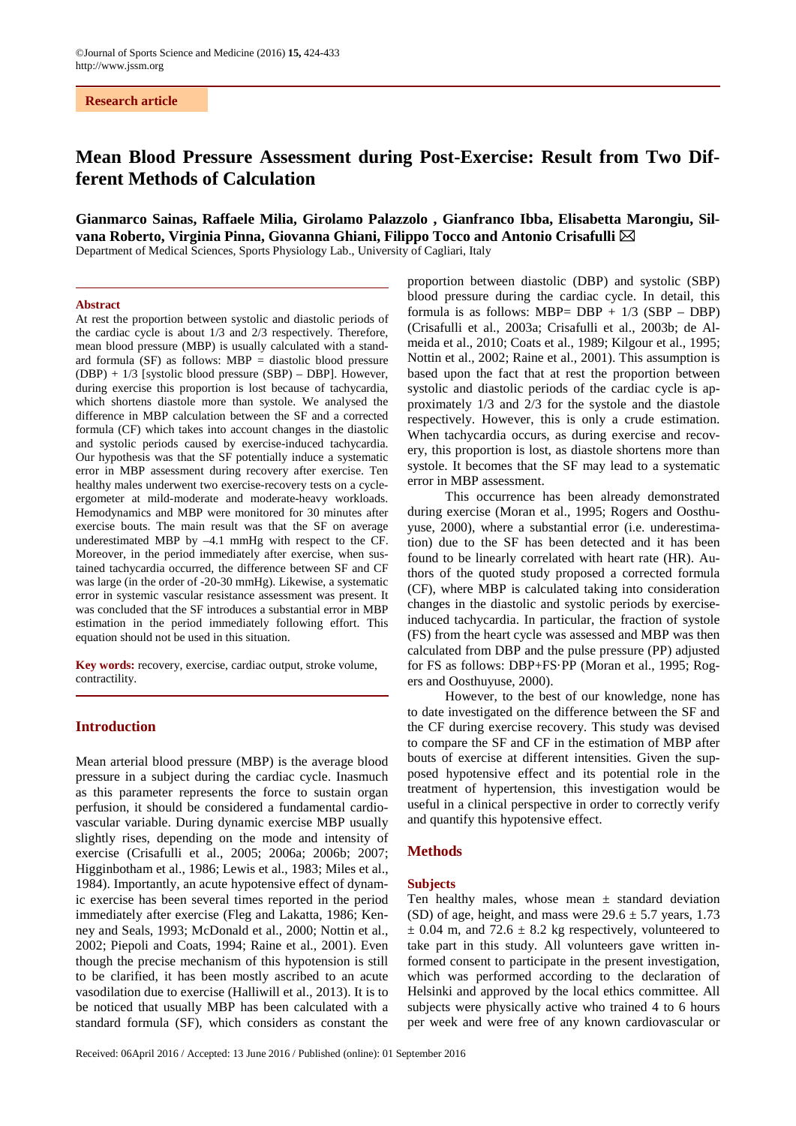**Research article**

# **Mean Blood Pressure Assessment during Post-Exercise: Result from Two Different Methods of Calculation**

# **Gianmarco Sainas, Raffaele Milia, Girolamo Palazzolo , Gianfranco Ibba, Elisabetta Marongiu, Silvana Roberto, Virginia Pinna, Giovanna Ghiani, Filippo Tocco and Antonio Crisafulli**

Department of Medical Sciences, Sports Physiology Lab., University of Cagliari, Italy

## **Abstract**

At rest the proportion between systolic and diastolic periods of the cardiac cycle is about 1/3 and 2/3 respectively. Therefore, mean blood pressure (MBP) is usually calculated with a standard formula  $(SF)$  as follows: MBP = diastolic blood pressure (DBP) + 1/3 [systolic blood pressure (SBP) – DBP]. However, during exercise this proportion is lost because of tachycardia, which shortens diastole more than systole. We analysed the difference in MBP calculation between the SF and a corrected formula (CF) which takes into account changes in the diastolic and systolic periods caused by exercise-induced tachycardia. Our hypothesis was that the SF potentially induce a systematic error in MBP assessment during recovery after exercise. Ten healthy males underwent two exercise-recovery tests on a cycleergometer at mild-moderate and moderate-heavy workloads. Hemodynamics and MBP were monitored for 30 minutes after exercise bouts. The main result was that the SF on average underestimated MBP by –4.1 mmHg with respect to the CF. Moreover, in the period immediately after exercise, when sustained tachycardia occurred, the difference between SF and CF was large (in the order of -20-30 mmHg). Likewise, a systematic error in systemic vascular resistance assessment was present. It was concluded that the SF introduces a substantial error in MBP estimation in the period immediately following effort. This equation should not be used in this situation.

**Key words:** recovery, exercise, cardiac output, stroke volume, contractility.

## **Introduction**

Mean arterial blood pressure (MBP) is the average blood pressure in a subject during the cardiac cycle. Inasmuch as this parameter represents the force to sustain organ perfusion, it should be considered a fundamental cardiovascular variable. During dynamic exercise MBP usually slightly rises, depending on the mode and intensity of exercise (Crisafulli et al., 2005; 2006a; 2006b; 2007; Higginbotham et al., 1986; Lewis et al., 1983; Miles et al., 1984). Importantly, an acute hypotensive effect of dynamic exercise has been several times reported in the period immediately after exercise (Fleg and Lakatta, 1986; Kenney and Seals, 1993; McDonald et al., 2000; Nottin et al., 2002; Piepoli and Coats, 1994; Raine et al., 2001). Even though the precise mechanism of this hypotension is still to be clarified, it has been mostly ascribed to an acute vasodilation due to exercise (Halliwill et al., 2013). It is to be noticed that usually MBP has been calculated with a standard formula (SF), which considers as constant the

proportion between diastolic (DBP) and systolic (SBP) blood pressure during the cardiac cycle. In detail, this formula is as follows: MBP=  $DBP + 1/3$  (SBP – DBP) (Crisafulli et al., 2003a; Crisafulli et al., 2003b; de Almeida et al., 2010; Coats et al., 1989; Kilgour et al., 1995; Nottin et al., 2002; Raine et al., 2001). This assumption is based upon the fact that at rest the proportion between systolic and diastolic periods of the cardiac cycle is approximately 1/3 and 2/3 for the systole and the diastole respectively. However, this is only a crude estimation. When tachycardia occurs, as during exercise and recovery, this proportion is lost, as diastole shortens more than systole. It becomes that the SF may lead to a systematic error in MBP assessment.

This occurrence has been already demonstrated during exercise (Moran et al., 1995; Rogers and Oosthuyuse, 2000), where a substantial error (i.e. underestimation) due to the SF has been detected and it has been found to be linearly correlated with heart rate (HR). Authors of the quoted study proposed a corrected formula (CF), where MBP is calculated taking into consideration changes in the diastolic and systolic periods by exerciseinduced tachycardia. In particular, the fraction of systole (FS) from the heart cycle was assessed and MBP was then calculated from DBP and the pulse pressure (PP) adjusted for FS as follows: DBP+FS·PP (Moran et al., 1995; Rogers and Oosthuyuse, 2000).

However, to the best of our knowledge, none has to date investigated on the difference between the SF and the CF during exercise recovery. This study was devised to compare the SF and CF in the estimation of MBP after bouts of exercise at different intensities. Given the supposed hypotensive effect and its potential role in the treatment of hypertension, this investigation would be useful in a clinical perspective in order to correctly verify and quantify this hypotensive effect.

## **Methods**

## **Subjects**

Ten healthy males, whose mean  $\pm$  standard deviation (SD) of age, height, and mass were  $29.6 \pm 5.7$  years, 1.73  $\pm$  0.04 m, and 72.6  $\pm$  8.2 kg respectively, volunteered to take part in this study. All volunteers gave written informed consent to participate in the present investigation, which was performed according to the declaration of Helsinki and approved by the local ethics committee. All subjects were physically active who trained 4 to 6 hours per week and were free of any known cardiovascular or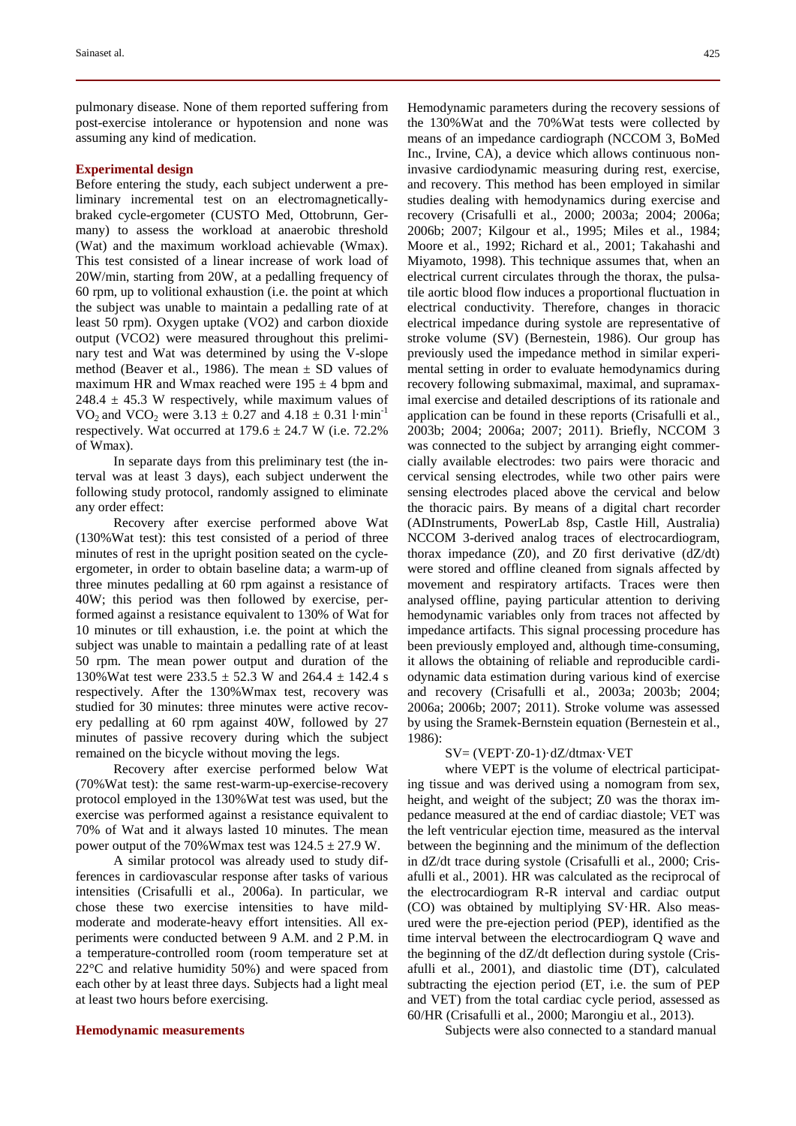pulmonary disease. None of them reported suffering from post-exercise intolerance or hypotension and none was assuming any kind of medication.

## **Experimental design**

Before entering the study, each subject underwent a preliminary incremental test on an electromagneticallybraked cycle-ergometer (CUSTO Med, Ottobrunn, Germany) to assess the workload at anaerobic threshold (Wat) and the maximum workload achievable (Wmax). This test consisted of a linear increase of work load of 20W/min, starting from 20W, at a pedalling frequency of 60 rpm, up to volitional exhaustion (i.e. the point at which the subject was unable to maintain a pedalling rate of at least 50 rpm). Oxygen uptake (VO2) and carbon dioxide output (VCO2) were measured throughout this preliminary test and Wat was determined by using the V-slope method (Beaver et al., 1986). The mean  $\pm$  SD values of maximum HR and Wmax reached were  $195 \pm 4$  bpm and  $248.4 \pm 45.3$  W respectively, while maximum values of VO<sub>2</sub> and VCO<sub>2</sub> were 3.13  $\pm$  0.27 and 4.18  $\pm$  0.31 l·min<sup>-1</sup> respectively. Wat occurred at  $179.6 \pm 24.7$  W (i.e. 72.2%) of Wmax).

In separate days from this preliminary test (the interval was at least 3 days), each subject underwent the following study protocol, randomly assigned to eliminate any order effect:

Recovery after exercise performed above Wat (130%Wat test): this test consisted of a period of three minutes of rest in the upright position seated on the cycleergometer, in order to obtain baseline data; a warm-up of three minutes pedalling at 60 rpm against a resistance of 40W; this period was then followed by exercise, performed against a resistance equivalent to 130% of Wat for 10 minutes or till exhaustion, i.e. the point at which the subject was unable to maintain a pedalling rate of at least 50 rpm. The mean power output and duration of the 130%Wat test were  $233.5 \pm 52.3$  W and  $264.4 \pm 142.4$  s respectively. After the 130%Wmax test, recovery was studied for 30 minutes: three minutes were active recovery pedalling at 60 rpm against 40W, followed by 27 minutes of passive recovery during which the subject remained on the bicycle without moving the legs.

Recovery after exercise performed below Wat (70%Wat test): the same rest-warm-up-exercise-recovery protocol employed in the 130%Wat test was used, but the exercise was performed against a resistance equivalent to 70% of Wat and it always lasted 10 minutes. The mean power output of the 70%Wmax test was  $124.5 \pm 27.9$  W.

A similar protocol was already used to study differences in cardiovascular response after tasks of various intensities (Crisafulli et al., 2006a). In particular, we chose these two exercise intensities to have mildmoderate and moderate-heavy effort intensities. All experiments were conducted between 9 A.M. and 2 P.M. in a temperature-controlled room (room temperature set at 22°C and relative humidity 50%) and were spaced from each other by at least three days. Subjects had a light meal at least two hours before exercising.

### **Hemodynamic measurements**

Hemodynamic parameters during the recovery sessions of the 130%Wat and the 70%Wat tests were collected by means of an impedance cardiograph (NCCOM 3, BoMed Inc., Irvine, CA), a device which allows continuous noninvasive cardiodynamic measuring during rest, exercise, and recovery. This method has been employed in similar studies dealing with hemodynamics during exercise and recovery (Crisafulli et al., 2000; 2003a; 2004; 2006a; 2006b; 2007; Kilgour et al., 1995; Miles et al., 1984; Moore et al., 1992; Richard et al., 2001; Takahashi and Miyamoto, 1998). This technique assumes that, when an electrical current circulates through the thorax, the pulsatile aortic blood flow induces a proportional fluctuation in electrical conductivity. Therefore, changes in thoracic electrical impedance during systole are representative of stroke volume (SV) (Bernestein, 1986). Our group has previously used the impedance method in similar experimental setting in order to evaluate hemodynamics during recovery following submaximal, maximal, and supramaximal exercise and detailed descriptions of its rationale and application can be found in these reports (Crisafulli et al., 2003b; 2004; 2006a; 2007; 2011). Briefly, NCCOM 3 was connected to the subject by arranging eight commercially available electrodes: two pairs were thoracic and cervical sensing electrodes, while two other pairs were sensing electrodes placed above the cervical and below the thoracic pairs. By means of a digital chart recorder (ADInstruments, PowerLab 8sp, Castle Hill, Australia) NCCOM 3-derived analog traces of electrocardiogram, thorax impedance  $(Z0)$ , and  $Z0$  first derivative  $(dZ/dt)$ were stored and offline cleaned from signals affected by movement and respiratory artifacts. Traces were then analysed offline, paying particular attention to deriving hemodynamic variables only from traces not affected by impedance artifacts. This signal processing procedure has been previously employed and, although time-consuming, it allows the obtaining of reliable and reproducible cardiodynamic data estimation during various kind of exercise and recovery (Crisafulli et al., 2003a; 2003b; 2004; 2006a; 2006b; 2007; 2011). Stroke volume was assessed by using the Sramek-Bernstein equation (Bernestein et al., 1986):

### SV= (VEPT·Z0-1)·dZ/dtmax·VET

where VEPT is the volume of electrical participating tissue and was derived using a nomogram from sex, height, and weight of the subject; Z0 was the thorax impedance measured at the end of cardiac diastole; VET was the left ventricular ejection time, measured as the interval between the beginning and the minimum of the deflection in dZ/dt trace during systole (Crisafulli et al., 2000; Crisafulli et al., 2001). HR was calculated as the reciprocal of the electrocardiogram R-R interval and cardiac output (CO) was obtained by multiplying SV·HR. Also measured were the pre-ejection period (PEP), identified as the time interval between the electrocardiogram Q wave and the beginning of the dZ/dt deflection during systole (Crisafulli et al., 2001), and diastolic time (DT), calculated subtracting the ejection period (ET, i.e. the sum of PEP and VET) from the total cardiac cycle period, assessed as 60/HR (Crisafulli et al., 2000; Marongiu et al., 2013).

Subjects were also connected to a standard manual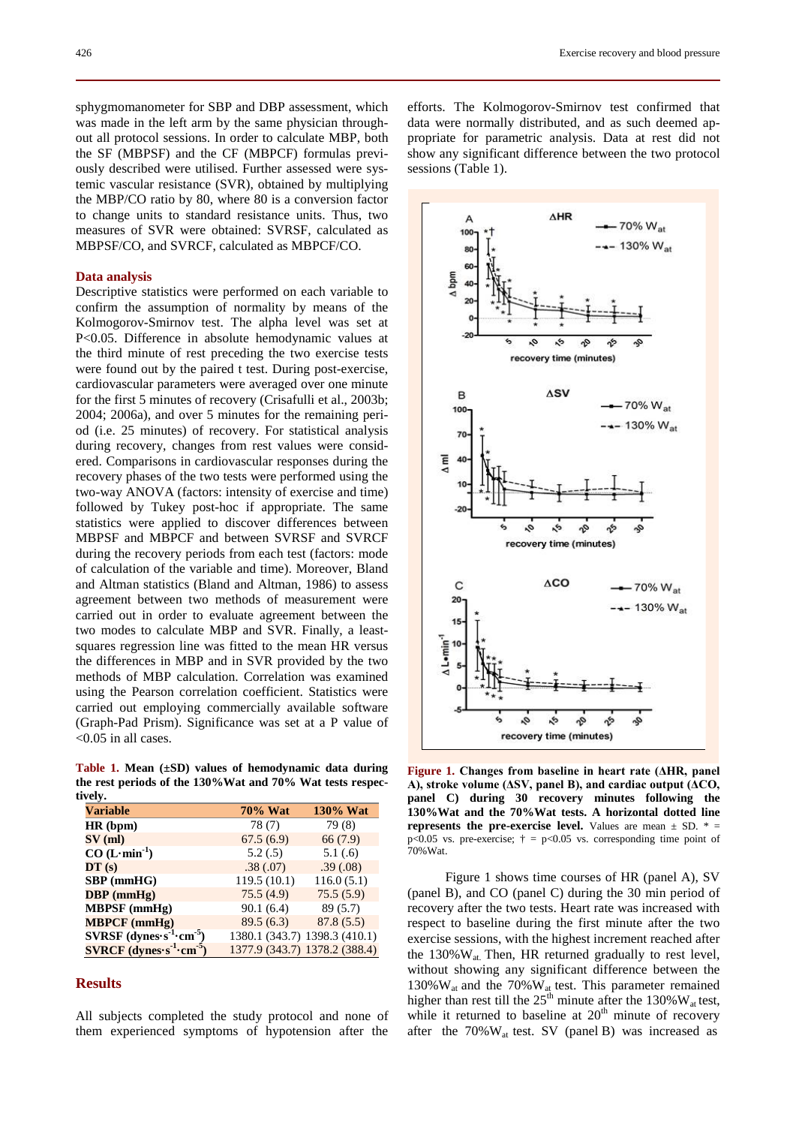sphygmomanometer for SBP and DBP assessment, which was made in the left arm by the same physician throughout all protocol sessions. In order to calculate MBP, both the SF (MBPSF) and the CF (MBPCF) formulas previously described were utilised. Further assessed were systemic vascular resistance (SVR), obtained by multiplying the MBP/CO ratio by 80, where 80 is a conversion factor to change units to standard resistance units. Thus, two measures of SVR were obtained: SVRSF, calculated as MBPSF/CO, and SVRCF, calculated as MBPCF/CO.

### **Data analysis**

Descriptive statistics were performed on each variable to confirm the assumption of normality by means of the Kolmogorov-Smirnov test. The alpha level was set at P<0.05. Difference in absolute hemodynamic values at the third minute of rest preceding the two exercise tests were found out by the paired t test. During post-exercise, cardiovascular parameters were averaged over one minute for the first 5 minutes of recovery (Crisafulli et al., 2003b; 2004; 2006a), and over 5 minutes for the remaining period (i.e. 25 minutes) of recovery. For statistical analysis during recovery, changes from rest values were considered. Comparisons in cardiovascular responses during the recovery phases of the two tests were performed using the two-way ANOVA (factors: intensity of exercise and time) followed by Tukey post-hoc if appropriate. The same statistics were applied to discover differences between MBPSF and MBPCF and between SVRSF and SVRCF during the recovery periods from each test (factors: mode of calculation of the variable and time). Moreover, Bland and Altman statistics (Bland and Altman, 1986) to assess agreement between two methods of measurement were carried out in order to evaluate agreement between the two modes to calculate MBP and SVR. Finally, a leastsquares regression line was fitted to the mean HR versus the differences in MBP and in SVR provided by the two methods of MBP calculation. Correlation was examined using the Pearson correlation coefficient. Statistics were carried out employing commercially available software (Graph-Pad Prism). Significance was set at a P value of <0.05 in all cases.

**Table 1. Mean (±SD) values of hemodynamic data during the rest periods of the 130%Wat and 70% Wat tests respectively.**

| Variable                                            | <b>70% Wat</b>                | 130% Wat   |
|-----------------------------------------------------|-------------------------------|------------|
| HR (bpm)                                            | 78(7)                         | 79 (8)     |
| $SV$ (ml)                                           | 67.5(6.9)                     | 66 (7.9)   |
| $CO (L·min-1)$                                      | 5.2(.5)                       | 5.1(0.6)   |
| DT(s)                                               | .38(.07)                      | .39(.08)   |
| $SBP$ (mmHG)                                        | 119.5(10.1)                   | 116.0(5.1) |
| $DBP$ (mmHg)                                        | 75.5(4.9)                     | 75.5(5.9)  |
| $MBPSF$ (mmHg)                                      | 90.1(6.4)                     | 89(5.7)    |
| <b>MBPCF</b> (mmHg)                                 | 89.5(6.3)                     | 87.8(5.5)  |
| $SVRSF$ (dynes s <sup>-1</sup> cm <sup>-5</sup> )   | 1380.1 (343.7) 1398.3 (410.1) |            |
| $\textbf{SVRCF}$ (dynes $s^{-1}$ cm <sup>-5</sup> ) | 1377.9 (343.7) 1378.2 (388.4) |            |

## **Results**

All subjects completed the study protocol and none of them experienced symptoms of hypotension after the efforts. The Kolmogorov-Smirnov test confirmed that data were normally distributed, and as such deemed appropriate for parametric analysis. Data at rest did not show any significant difference between the two protocol sessions (Table 1).



**Figure 1. Changes from baseline in heart rate (ΔHR, panel A), stroke volume (ΔSV, panel B), and cardiac output (ΔCO, panel C) during 30 recovery minutes following the 130%Wat and the 70%Wat tests. A horizontal dotted line represents the pre-exercise level.** Values are mean  $\pm$  SD.  $*$  = p<0.05 vs. pre-exercise;  $\dagger$  = p<0.05 vs. corresponding time point of 70%Wat.

Figure 1 shows time courses of HR (panel A), SV (panel B), and CO (panel C) during the 30 min period of recovery after the two tests. Heart rate was increased with respect to baseline during the first minute after the two exercise sessions, with the highest increment reached after the 130% W<sub>at.</sub> Then, HR returned gradually to rest level, without showing any significant difference between the 130% $W_{at}$  and the 70% $W_{at}$  test. This parameter remained higher than rest till the  $25<sup>th</sup>$  minute after the 130% W<sub>at</sub> test, while it returned to baseline at  $20<sup>th</sup>$  minute of recovery after the  $70\%$  W<sub>at</sub> test. SV (panel B) was increased as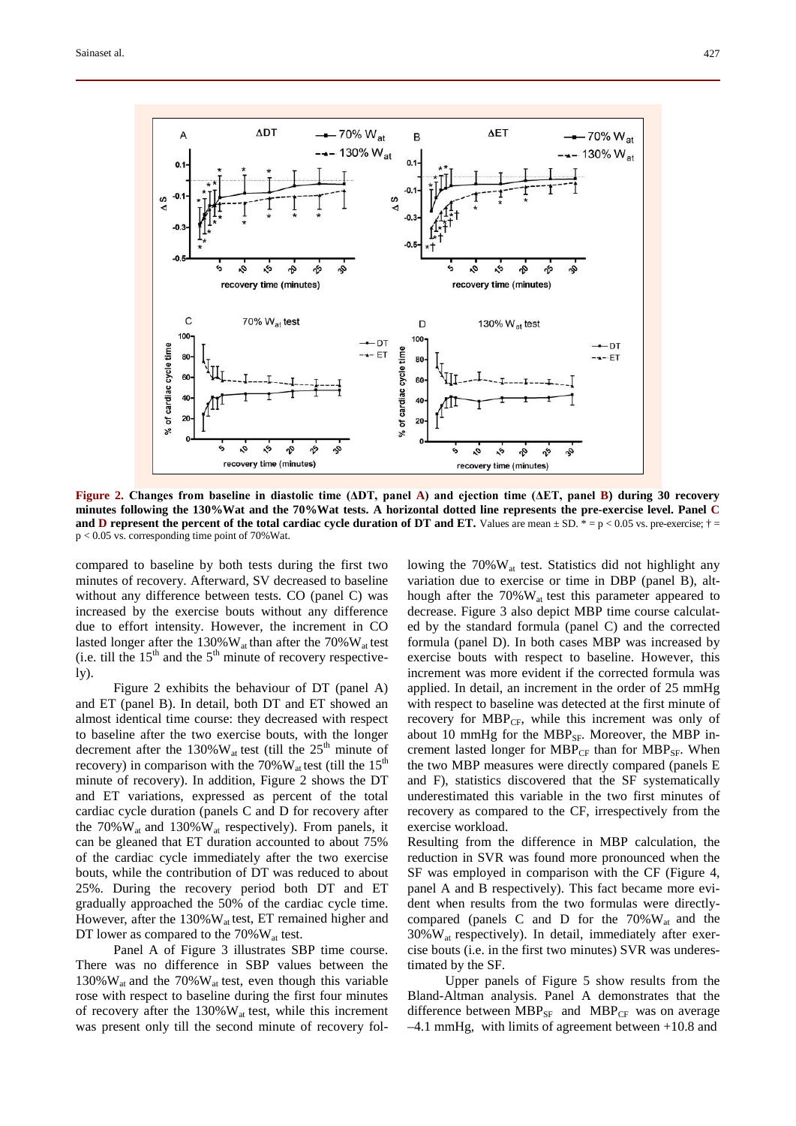

**Figure 2. Changes from baseline in diastolic time (ΔDT, panel A) and ejection time (ΔET, panel B) during 30 recovery minutes following the 130%Wat and the 70%Wat tests. A horizontal dotted line represents the pre-exercise level. Panel C and D** represent the percent of the total cardiac cycle duration of DT and ET. Values are mean  $\pm$  SD. \* = p < 0.05 vs. pre-exercise;  $\dagger$  = p < 0.05 vs. corresponding time point of 70%Wat.

compared to baseline by both tests during the first two minutes of recovery. Afterward, SV decreased to baseline without any difference between tests. CO (panel C) was increased by the exercise bouts without any difference due to effort intensity. However, the increment in CO lasted longer after the 130% $W_{at}$  than after the 70% $W_{at}$  test (i.e. till the  $15<sup>th</sup>$  and the  $5<sup>th</sup>$  minute of recovery respective- $1y)$ .

Figure 2 exhibits the behaviour of DT (panel A) and ET (panel B). In detail, both DT and ET showed an almost identical time course: they decreased with respect to baseline after the two exercise bouts, with the longer decrement after the 130% $W_{at}$  test (till the 25<sup>th</sup> minute of recovery) in comparison with the 70% $W_{at}$  test (till the 15<sup>th</sup> minute of recovery). In addition, Figure 2 shows the DT and ET variations, expressed as percent of the total cardiac cycle duration (panels C and D for recovery after the  $70\%$  W<sub>at</sub> and  $130\%$  W<sub>at</sub> respectively). From panels, it can be gleaned that ET duration accounted to about 75% of the cardiac cycle immediately after the two exercise bouts, while the contribution of DT was reduced to about 25%. During the recovery period both DT and ET gradually approached the 50% of the cardiac cycle time. However, after the  $130\%$  W<sub>at</sub> test, ET remained higher and DT lower as compared to the  $70\%$  W<sub>at</sub> test.

Panel A of Figure 3 illustrates SBP time course. There was no difference in SBP values between the 130% $W_{at}$  and the 70% $W_{at}$  test, even though this variable rose with respect to baseline during the first four minutes of recovery after the  $130\%$  W<sub>at</sub> test, while this increment was present only till the second minute of recovery following the  $70\%$  W<sub>at</sub> test. Statistics did not highlight any variation due to exercise or time in DBP (panel B), although after the  $70\%$ W<sub>at</sub> test this parameter appeared to decrease. Figure 3 also depict MBP time course calculated by the standard formula (panel C) and the corrected formula (panel D). In both cases MBP was increased by exercise bouts with respect to baseline. However, this increment was more evident if the corrected formula was applied. In detail, an increment in the order of 25 mmHg with respect to baseline was detected at the first minute of recovery for  $MBP_{CF}$ , while this increment was only of about 10 mmHg for the  $MBP_{SF}$ . Moreover, the MBP increment lasted longer for  $MBP_{CF}$  than for  $MBP_{SF}$ . When the two MBP measures were directly compared (panels E and F), statistics discovered that the SF systematically underestimated this variable in the two first minutes of recovery as compared to the CF, irrespectively from the exercise workload.

Resulting from the difference in MBP calculation, the reduction in SVR was found more pronounced when the SF was employed in comparison with the CF (Figure 4, panel A and B respectively). This fact became more evident when results from the two formulas were directlycompared (panels C and D for the  $70\%$  W<sub>at</sub> and the  $30\%$  W<sub>at</sub> respectively). In detail, immediately after exercise bouts (i.e. in the first two minutes) SVR was underestimated by the SF.

Upper panels of Figure 5 show results from the Bland-Altman analysis. Panel A demonstrates that the difference between  $MBP_{SF}$  and  $MBP_{CF}$  was on average –4.1 mmHg, with limits of agreement between +10.8 and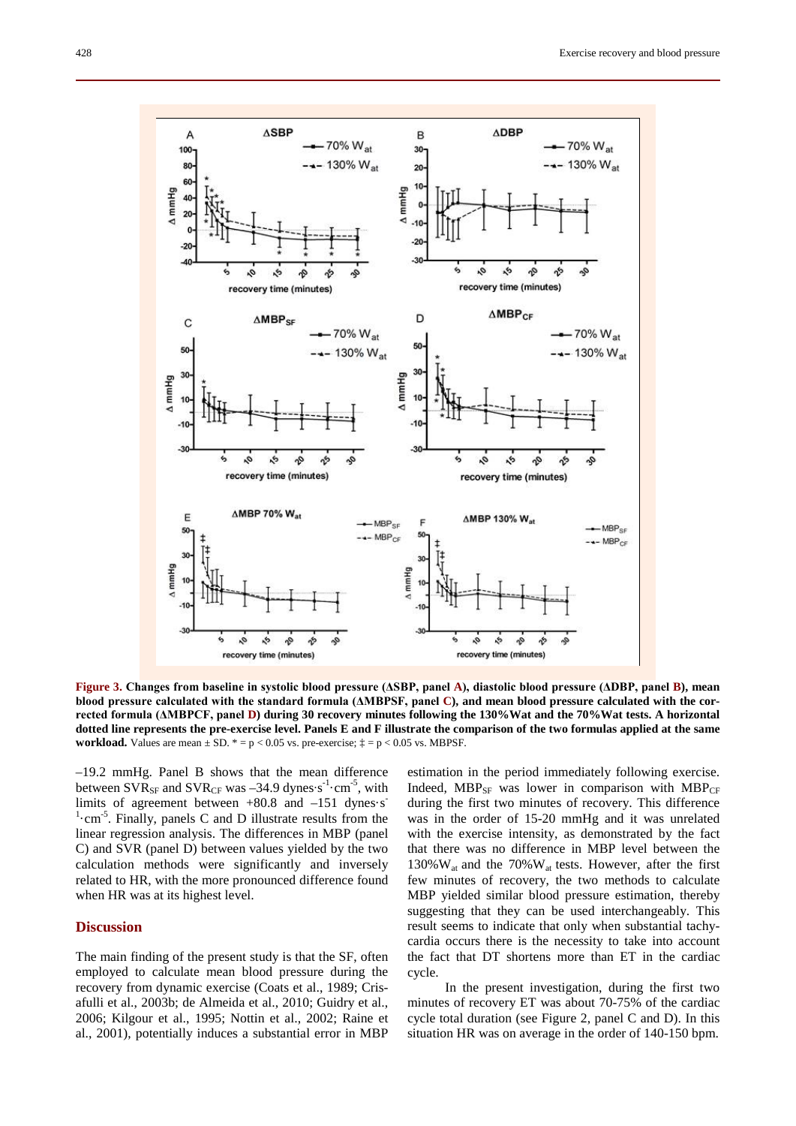

**Figure 3. Changes from baseline in systolic blood pressure (ΔSBP, panel A), diastolic blood pressure (ΔDBP, panel B), mean blood pressure calculated with the standard formula (ΔMBPSF, panel C), and mean blood pressure calculated with the corrected formula (ΔMBPCF, panel D) during 30 recovery minutes following the 130%Wat and the 70%Wat tests. A horizontal dotted line represents the pre-exercise level. Panels E and F illustrate the comparison of the two formulas applied at the same workload.** Values are mean  $\pm$  SD.  $* = p < 0.05$  vs. pre-exercise;  $\ddagger = p < 0.05$  vs. MBPSF.

–19.2 mmHg. Panel B shows that the mean difference between  $\text{SVR}_{\text{SF}}$  and  $\text{SVR}_{\text{CF}}$  was –34.9 dynes∙s<sup>-1</sup>⋅cm<sup>-5</sup>, with limits of agreement between  $+80.8$  and  $-151$  dynes $\cdot$ s<sup>-</sup> <sup>1</sup>·cm<sup>-5</sup>. Finally, panels C and D illustrate results from the linear regression analysis. The differences in MBP (panel C) and SVR (panel D) between values yielded by the two calculation methods were significantly and inversely related to HR, with the more pronounced difference found when HR was at its highest level.

## **Discussion**

The main finding of the present study is that the SF, often employed to calculate mean blood pressure during the recovery from dynamic exercise (Coats et al., 1989; Crisafulli et al., 2003b; de Almeida et al., 2010; Guidry et al., 2006; Kilgour et al., 1995; Nottin et al., 2002; Raine et al., 2001), potentially induces a substantial error in MBP

estimation in the period immediately following exercise. Indeed,  $MBP_{SF}$  was lower in comparison with  $MBP_{CF}$ during the first two minutes of recovery. This difference was in the order of 15-20 mmHg and it was unrelated with the exercise intensity, as demonstrated by the fact that there was no difference in MBP level between the 130% $W_{at}$  and the 70% $W_{at}$  tests. However, after the first few minutes of recovery, the two methods to calculate MBP yielded similar blood pressure estimation, thereby suggesting that they can be used interchangeably. This result seems to indicate that only when substantial tachycardia occurs there is the necessity to take into account the fact that DT shortens more than ET in the cardiac cycle.

In the present investigation, during the first two minutes of recovery ET was about 70-75% of the cardiac cycle total duration (see Figure 2, panel C and D). In this situation HR was on average in the order of 140-150 bpm.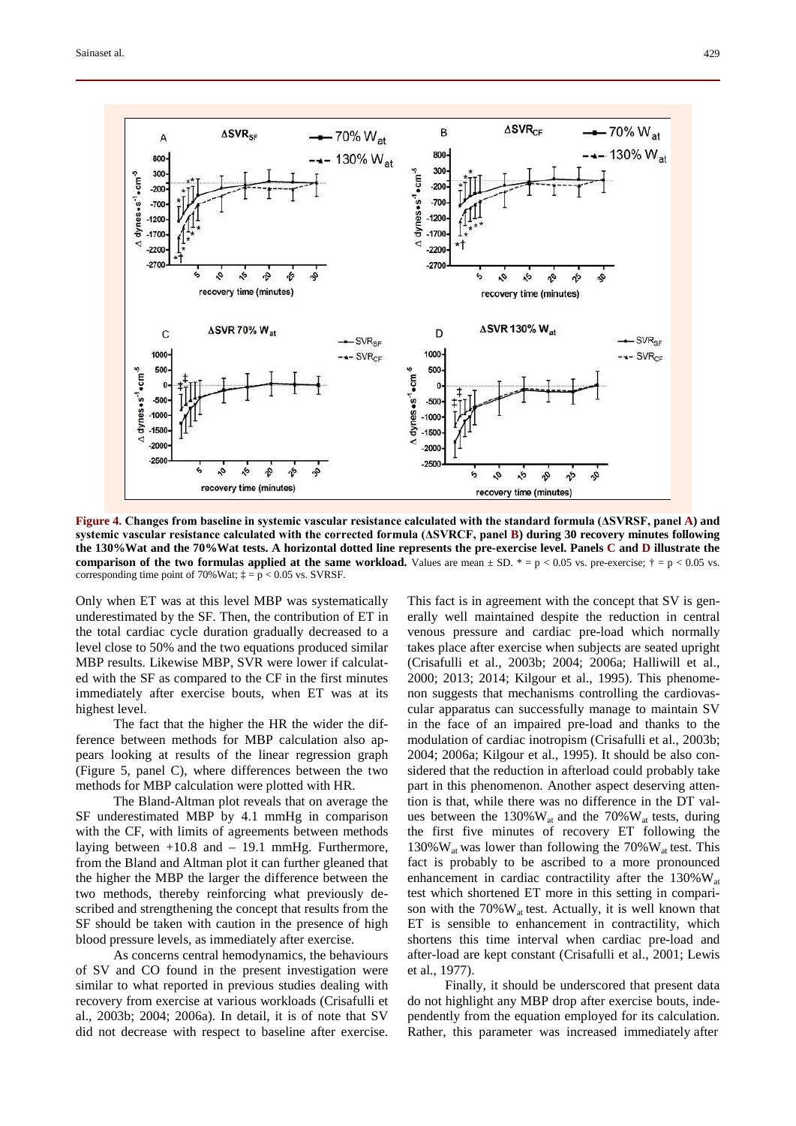

**Figure 4. Changes from baseline in systemic vascular resistance calculated with the standard formula (ΔSVRSF, panel A) and systemic vascular resistance calculated with the corrected formula (ΔSVRCF, panel B) during 30 recovery minutes following the 130%Wat and the 70%Wat tests. A horizontal dotted line represents the pre-exercise level. Panels C and D illustrate the comparison of the two formulas applied at the same workload.** Values are mean  $\pm$  SD.  $* = p < 0.05$  vs. pre-exercise;  $\dagger = p < 0.05$  vs. corresponding time point of 70%Wat;  $\ddagger$  = p < 0.05 vs. SVRSF.

Only when ET was at this level MBP was systematically underestimated by the SF. Then, the contribution of ET in the total cardiac cycle duration gradually decreased to a level close to 50% and the two equations produced similar MBP results. Likewise MBP, SVR were lower if calculated with the SF as compared to the CF in the first minutes immediately after exercise bouts, when ET was at its highest level.

The fact that the higher the HR the wider the difference between methods for MBP calculation also appears looking at results of the linear regression graph (Figure 5, panel C), where differences between the two methods for MBP calculation were plotted with HR.

The Bland-Altman plot reveals that on average the SF underestimated MBP by 4.1 mmHg in comparison with the CF, with limits of agreements between methods laying between  $+10.8$  and  $-19.1$  mmHg. Furthermore, from the Bland and Altman plot it can further gleaned that the higher the MBP the larger the difference between the two methods, thereby reinforcing what previously described and strengthening the concept that results from the SF should be taken with caution in the presence of high blood pressure levels, as immediately after exercise.

As concerns central hemodynamics, the behaviours of SV and CO found in the present investigation were similar to what reported in previous studies dealing with recovery from exercise at various workloads (Crisafulli et al., 2003b; 2004; 2006a). In detail, it is of note that SV did not decrease with respect to baseline after exercise.

This fact is in agreement with the concept that SV is generally well maintained despite the reduction in central venous pressure and cardiac pre-load which normally takes place after exercise when subjects are seated upright (Crisafulli et al., 2003b; 2004; 2006a; Halliwill et al., 2000; 2013; 2014; Kilgour et al., 1995). This phenomenon suggests that mechanisms controlling the cardiovascular apparatus can successfully manage to maintain SV in the face of an impaired pre-load and thanks to the modulation of cardiac inotropism (Crisafulli et al., 2003b; 2004; 2006a; Kilgour et al., 1995). It should be also considered that the reduction in afterload could probably take part in this phenomenon. Another aspect deserving attention is that, while there was no difference in the DT values between the  $130\%$ W<sub>at</sub> and the  $70\%$ W<sub>at</sub> tests, during the first five minutes of recovery ET following the 130% $W_{at}$  was lower than following the 70% $W_{at}$  test. This fact is probably to be ascribed to a more pronounced enhancement in cardiac contractility after the  $130\%$  W<sub>at</sub> test which shortened ET more in this setting in comparison with the  $70\%$  W<sub>at</sub> test. Actually, it is well known that ET is sensible to enhancement in contractility, which shortens this time interval when cardiac pre-load and after-load are kept constant (Crisafulli et al., 2001; Lewis et al., 1977).

Finally, it should be underscored that present data do not highlight any MBP drop after exercise bouts, independently from the equation employed for its calculation. Rather, this parameter was increased immediately after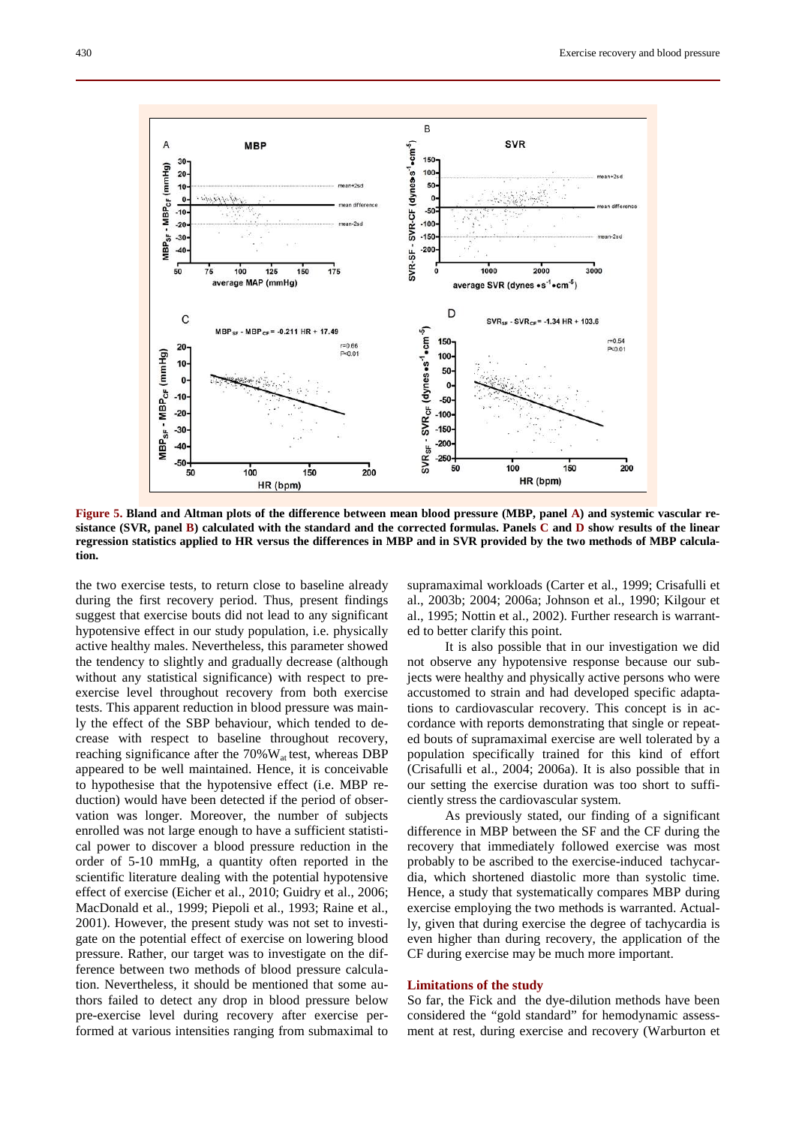

**Figure 5. Bland and Altman plots of the difference between mean blood pressure (MBP, panel A) and systemic vascular resistance (SVR, panel B) calculated with the standard and the corrected formulas. Panels C and D show results of the linear regression statistics applied to HR versus the differences in MBP and in SVR provided by the two methods of MBP calculation.** 

the two exercise tests, to return close to baseline already during the first recovery period. Thus, present findings suggest that exercise bouts did not lead to any significant hypotensive effect in our study population, i.e. physically active healthy males. Nevertheless, this parameter showed the tendency to slightly and gradually decrease (although without any statistical significance) with respect to preexercise level throughout recovery from both exercise tests. This apparent reduction in blood pressure was mainly the effect of the SBP behaviour, which tended to decrease with respect to baseline throughout recovery, reaching significance after the  $70\%$  W<sub>at</sub> test, whereas DBP appeared to be well maintained. Hence, it is conceivable to hypothesise that the hypotensive effect (i.e. MBP reduction) would have been detected if the period of observation was longer. Moreover, the number of subjects enrolled was not large enough to have a sufficient statistical power to discover a blood pressure reduction in the order of 5-10 mmHg, a quantity often reported in the scientific literature dealing with the potential hypotensive effect of exercise (Eicher et al., 2010; Guidry et al., 2006; MacDonald et al., 1999; Piepoli et al., 1993; Raine et al., 2001). However, the present study was not set to investigate on the potential effect of exercise on lowering blood pressure. Rather, our target was to investigate on the difference between two methods of blood pressure calculation. Nevertheless, it should be mentioned that some authors failed to detect any drop in blood pressure below pre-exercise level during recovery after exercise performed at various intensities ranging from submaximal to supramaximal workloads (Carter et al., 1999; Crisafulli et al., 2003b; 2004; 2006a; Johnson et al., 1990; Kilgour et al., 1995; Nottin et al., 2002). Further research is warranted to better clarify this point.

It is also possible that in our investigation we did not observe any hypotensive response because our subjects were healthy and physically active persons who were accustomed to strain and had developed specific adaptations to cardiovascular recovery. This concept is in accordance with reports demonstrating that single or repeated bouts of supramaximal exercise are well tolerated by a population specifically trained for this kind of effort (Crisafulli et al., 2004; 2006a). It is also possible that in our setting the exercise duration was too short to sufficiently stress the cardiovascular system.

As previously stated, our finding of a significant difference in MBP between the SF and the CF during the recovery that immediately followed exercise was most probably to be ascribed to the exercise-induced tachycardia, which shortened diastolic more than systolic time. Hence, a study that systematically compares MBP during exercise employing the two methods is warranted. Actually, given that during exercise the degree of tachycardia is even higher than during recovery, the application of the CF during exercise may be much more important.

## **Limitations of the study**

So far, the Fick and the dye-dilution methods have been considered the "gold standard" for hemodynamic assessment at rest, during exercise and recovery (Warburton et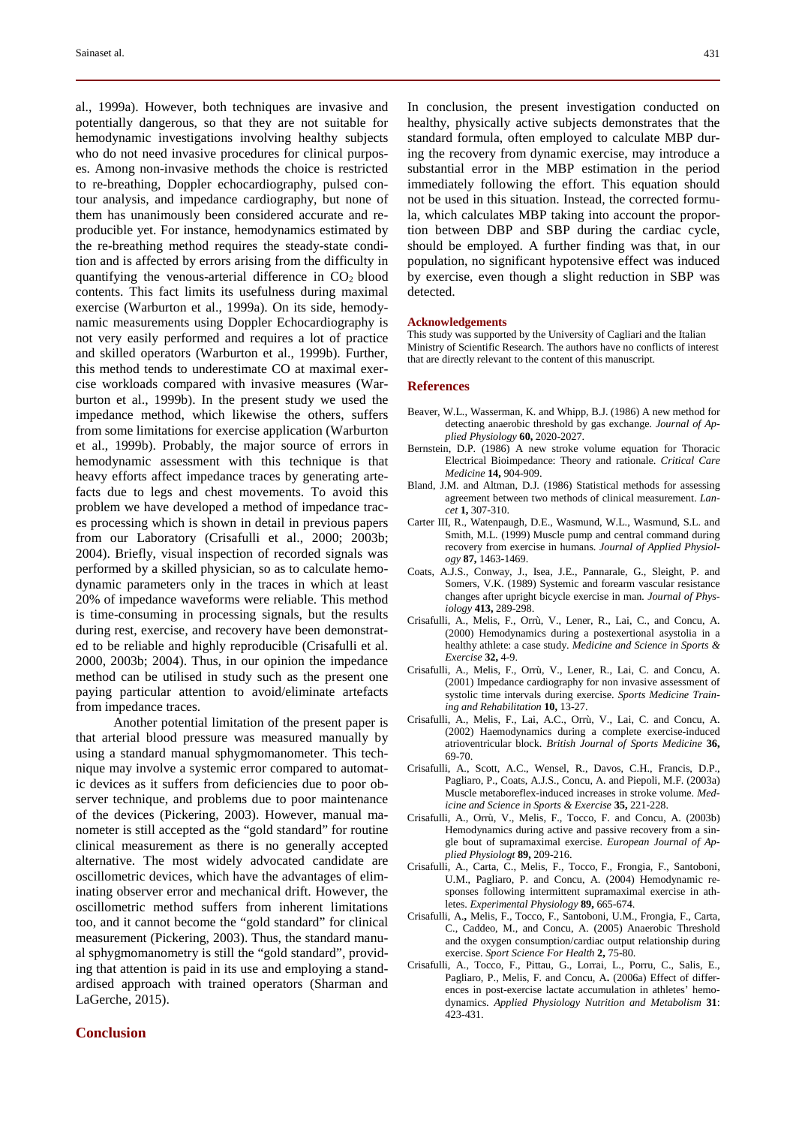al., 1999a). However, both techniques are invasive and potentially dangerous, so that they are not suitable for hemodynamic investigations involving healthy subjects who do not need invasive procedures for clinical purposes. Among non-invasive methods the choice is restricted to re-breathing, Doppler echocardiography, pulsed contour analysis, and impedance cardiography, but none of them has unanimously been considered accurate and reproducible yet. For instance, hemodynamics estimated by the re-breathing method requires the steady-state condition and is affected by errors arising from the difficulty in quantifying the venous-arterial difference in  $CO<sub>2</sub>$  blood contents. This fact limits its usefulness during maximal exercise (Warburton et al., 1999a). On its side, hemodynamic measurements using Doppler Echocardiography is not very easily performed and requires a lot of practice and skilled operators (Warburton et al., 1999b). Further, this method tends to underestimate CO at maximal exercise workloads compared with invasive measures (Warburton et al., 1999b). In the present study we used the impedance method, which likewise the others, suffers from some limitations for exercise application (Warburton et al., 1999b). Probably, the major source of errors in hemodynamic assessment with this technique is that heavy efforts affect impedance traces by generating artefacts due to legs and chest movements. To avoid this problem we have developed a method of impedance traces processing which is shown in detail in previous papers from our Laboratory (Crisafulli et al., 2000; 2003b; 2004). Briefly, visual inspection of recorded signals was performed by a skilled physician, so as to calculate hemodynamic parameters only in the traces in which at least 20% of impedance waveforms were reliable. This method is time-consuming in processing signals, but the results during rest, exercise, and recovery have been demonstrated to be reliable and highly reproducible (Crisafulli et al. 2000, 2003b; 2004). Thus, in our opinion the impedance method can be utilised in study such as the present one paying particular attention to avoid/eliminate artefacts from impedance traces.

Another potential limitation of the present paper is that arterial blood pressure was measured manually by using a standard manual sphygmomanometer. This technique may involve a systemic error compared to automatic devices as it suffers from deficiencies due to poor observer technique, and problems due to poor maintenance of the devices (Pickering, 2003). However, manual manometer is still accepted as the "gold standard" for routine clinical measurement as there is no generally accepted alternative. The most widely advocated candidate are oscillometric devices, which have the advantages of eliminating observer error and mechanical drift. However, the oscillometric method suffers from inherent limitations too, and it cannot become the "gold standard" for clinical measurement (Pickering, 2003). Thus, the standard manual sphygmomanometry is still the "gold standard", providing that attention is paid in its use and employing a standardised approach with trained operators (Sharman and LaGerche, 2015).

## **Conclusion**

In conclusion, the present investigation conducted on healthy, physically active subjects demonstrates that the standard formula, often employed to calculate MBP during the recovery from dynamic exercise, may introduce a substantial error in the MBP estimation in the period immediately following the effort. This equation should not be used in this situation. Instead, the corrected formula, which calculates MBP taking into account the proportion between DBP and SBP during the cardiac cycle, should be employed. A further finding was that, in our population, no significant hypotensive effect was induced by exercise, even though a slight reduction in SBP was detected.

#### **Acknowledgements**

This study was supported by the University of Cagliari and the Italian Ministry of Scientific Research. The authors have no conflicts of interest that are directly relevant to the content of this manuscript.

#### **References**

- Beaver, W.L., Wasserman, K. and Whipp, B.J. (1986) A new method for detecting anaerobic threshold by gas exchange*. Journal of Applied Physiology* **60,** 2020-2027.
- Bernstein, D.P. (1986) A new stroke volume equation for Thoracic Electrical Bioimpedance: Theory and rationale. *Critical Care Medicine* **14,** 904-909.
- Bland, J.M. and Altman, D.J. (1986) Statistical methods for assessing agreement between two methods of clinical measurement. *Lancet* **1,** 307-310.
- Carter III, R., Watenpaugh, D.E., Wasmund, W.L., Wasmund, S.L. and Smith, M.L. (1999) Muscle pump and central command during recovery from exercise in humans. *Journal of Applied Physiology* **87,** 1463-1469.
- Coats, A.J.S., Conway, J., Isea, J.E., Pannarale, G., Sleight, P. and Somers, V.K. (1989) Systemic and forearm vascular resistance changes after upright bicycle exercise in man*. Journal of Physiology* **413,** 289-298.
- Crisafulli, A., Melis, F., Orrù, V., Lener, R., Lai, C., and Concu, A. (2000) Hemodynamics during a postexertional asystolia in a healthy athlete: a case study. *Medicine and Science in Sports & Exercise* **32,** 4-9.
- Crisafulli, A., Melis, F., Orrù, V., Lener, R., Lai, C. and Concu, A. (2001) Impedance cardiography for non invasive assessment of systolic time intervals during exercise. *Sports Medicine Training and Rehabilitation* **10,** 13-27.
- Crisafulli, A., Melis, F., Lai, A.C., Orrù, V., Lai, C. and Concu, A. (2002) Haemodynamics during a complete exercise-induced atrioventricular block. *British Journal of Sports Medicine* **36,** 69-70.
- Crisafulli, A., Scott, A.C., Wensel, R., Davos, C.H., Francis, D.P., Pagliaro, P., Coats, A.J.S., Concu, A. and Piepoli, M.F. (2003a) Muscle metaboreflex-induced increases in stroke volume. *Medicine and Science in Sports & Exercise* **35,** 221-228.
- Crisafulli, A., Orrù, V., Melis, F., Tocco, F. and Concu, A. (2003b) Hemodynamics during active and passive recovery from a single bout of supramaximal exercise. *European Journal of Applied Physiologt* **89,** 209-216.
- Crisafulli, A., Carta, C., Melis, F., Tocco, F., Frongia, F., Santoboni, U.M., Pagliaro, P. and Concu, A. (2004) Hemodynamic responses following intermittent supramaximal exercise in athletes. *Experimental Physiology* **89,** 665-674.
- Crisafulli, A.**,** Melis, F., Tocco, F., Santoboni, U.M., Frongia, F., Carta, C., Caddeo, M., and Concu, A. (2005) Anaerobic Threshold and the oxygen consumption/cardiac output relationship during exercise. *Sport Science For Health* **2,** 75-80.
- Crisafulli, A., Tocco, F., Pittau, G., Lorrai, L., Porru, C., Salis, E., Pagliaro, P., Melis, F. and Concu, A**.** (2006a) Effect of differences in post-exercise lactate accumulation in athletes' hemodynamics. *Applied Physiology Nutrition and Metabolism* **31**: 423-431.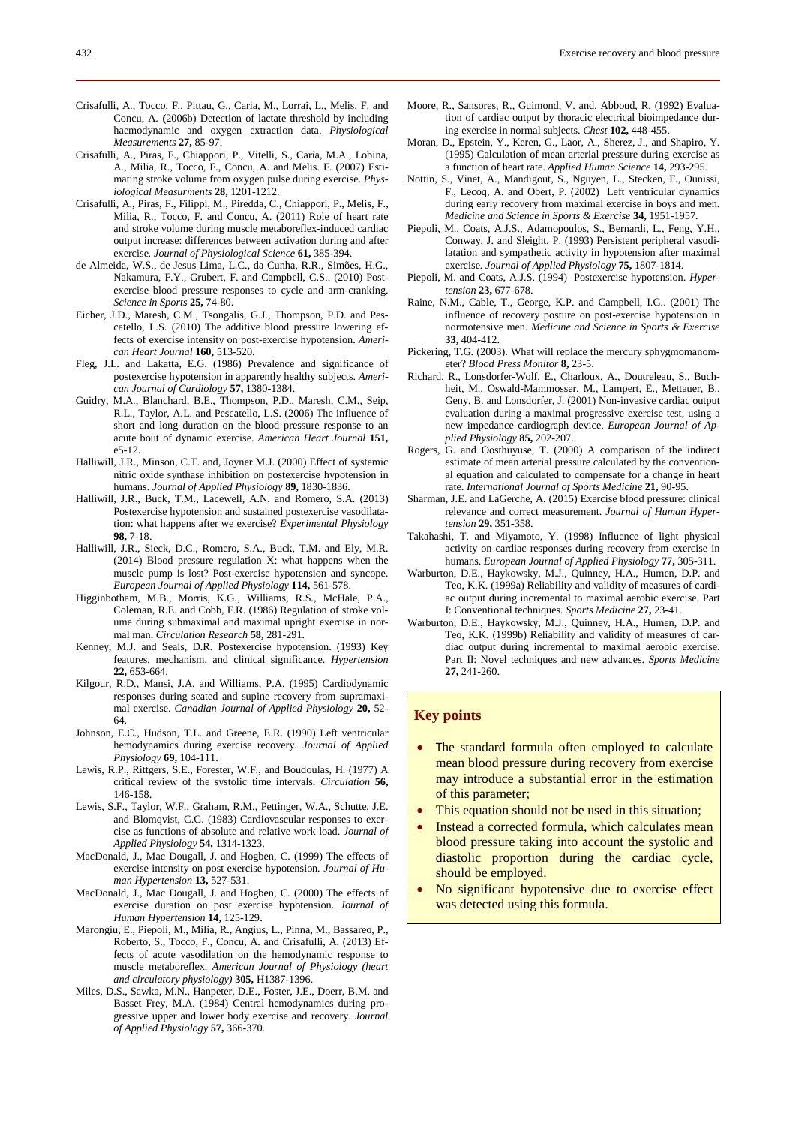- Crisafulli, A., Piras, F., Chiappori, P., Vitelli, S., Caria, M.A., Lobina, A., Milia, R., Tocco, F., Concu, A. and Melis. F. (2007) Estimating stroke volume from oxygen pulse during exercise. *Physiological Measurments* **28,** 1201-1212.
- Crisafulli, A., Piras, F., Filippi, M., Piredda, C., Chiappori, P., Melis, F., Milia, R., Tocco, F. and Concu, A. (2011) Role of heart rate and stroke volume during muscle metaboreflex-induced cardiac output increase: differences between activation during and after exercise*. Journal of Physiological Science* **61,** 385-394.
- de Almeida, W.S., de Jesus Lima, L.C., da Cunha, R.R., Simões, H.G., Nakamura, F.Y., Grubert, F. and Campbell, C.S.. (2010) Postexercise blood pressure responses to cycle and arm-cranking. *Science in Sports* **25,** 74-80.
- Eicher, J.D., Maresh, C.M., Tsongalis, G.J., Thompson, P.D. and Pescatello, L.S. (2010) The additive blood pressure lowering effects of exercise intensity on post-exercise hypotension. *American Heart Journal* **160,** 513-520.
- Fleg, J.L. and Lakatta, E.G. (1986) Prevalence and significance of postexercise hypotension in apparently healthy subjects. *American Journal of Cardiology* **57,** 1380-1384.
- Guidry, M.A., Blanchard, B.E., Thompson, P.D., Maresh, C.M., Seip, R.L., Taylor, A.L. and Pescatello, L.S. (2006) The influence of short and long duration on the blood pressure response to an acute bout of dynamic exercise. *American Heart Journal* **151,** e5-12.
- Halliwill, J.R., Minson, C.T. and, Joyner M.J. (2000) Effect of systemic nitric oxide synthase inhibition on postexercise hypotension in humans. *Journal of Applied Physiology* **89,** 1830-1836.
- Halliwill, J.R., Buck, T.M., Lacewell, A.N. and Romero, S.A. (2013) Postexercise hypotension and sustained postexercise vasodilatation: what happens after we exercise? *Experimental Physiology* **98,** 7-18.
- Halliwill, J.R., Sieck, D.C., Romero, S.A., Buck, T.M. and Ely, M.R. (2014) Blood pressure regulation X: what happens when the muscle pump is lost? Post-exercise hypotension and syncope. *European Journal of Applied Physiology* **114,** 561-578.
- Higginbotham, M.B., Morris, K.G., Williams, R.S., McHale, P.A., Coleman, R.E. and Cobb, F.R. (1986) Regulation of stroke volume during submaximal and maximal upright exercise in normal man. *Circulation Research* **58,** 281-291.
- Kenney, M.J. and Seals, D.R. Postexercise hypotension. (1993) Key features, mechanism, and clinical significance. *Hypertension* **22,** 653-664.
- Kilgour, R.D., Mansi, J.A. and Williams, P.A. (1995) Cardiodynamic responses during seated and supine recovery from supramaximal exercise. *Canadian Journal of Applied Physiology* **20,** 52- 64.
- Johnson, E.C., Hudson, T.L. and Greene, E.R. (1990) Left ventricular hemodynamics during exercise recovery. *Journal of Applied Physiology* **69,** 104-111.
- Lewis, R.P., Rittgers, S.E., Forester, W.F., and Boudoulas, H. (1977) A critical review of the systolic time intervals. *Circulation* **56,** 146-158.
- Lewis, S.F., Taylor, W.F., Graham, R.M., Pettinger, W.A., Schutte, J.E. and Blomqvist, C.G. (1983) Cardiovascular responses to exercise as functions of absolute and relative work load. *Journal of Applied Physiology* **54,** 1314-1323.
- MacDonald, J., Mac Dougall, J. and Hogben, C. (1999) The effects of exercise intensity on post exercise hypotension*. Journal of Human Hypertension* **13,** 527-531.
- MacDonald, J., Mac Dougall, J. and Hogben, C. (2000) The effects of exercise duration on post exercise hypotension. *Journal of Human Hypertension* **14,** 125-129.
- Marongiu, E., Piepoli, M., Milia, R., Angius, L., Pinna, M., Bassareo, P., Roberto, S., Tocco, F., Concu, A. and Crisafulli, A. (2013) Effects of acute vasodilation on the hemodynamic response to muscle metaboreflex. *American Journal of Physiology (heart and circulatory physiology)* **305,** H1387-1396.
- Miles, D.S., Sawka, M.N., Hanpeter, D.E., Foster, J.E., Doerr, B.M. and Basset Frey, M.A. (1984) Central hemodynamics during progressive upper and lower body exercise and recovery. *Journal of Applied Physiology* **57,** 366-370.
- Moore, R., Sansores, R., Guimond, V. and, Abboud, R. (1992) Evaluation of cardiac output by thoracic electrical bioimpedance during exercise in normal subjects. *Chest* **102,** 448-455.
- Moran, D., Epstein, Y., Keren, G., Laor, A., Sherez, J., and Shapiro, Y. (1995) Calculation of mean arterial pressure during exercise as a function of heart rate. *Applied Human Science* **14,** 293-295.
- Nottin, S., Vinet, A., Mandigout, S., Nguyen, L., Stecken, F., Ounissi, F., Lecoq, A. and Obert, P. (2002) Left ventricular dynamics during early recovery from maximal exercise in boys and men. *Medicine and Science in Sports & Exercise* **34,** 1951-1957.
- Piepoli, M., Coats, A.J.S., Adamopoulos, S., Bernardi, L., Feng, Y.H., Conway, J. and Sleight, P. (1993) Persistent peripheral vasodilatation and sympathetic activity in hypotension after maximal exercise. *Journal of Applied Physiology* **75,** 1807-1814.
- Piepoli, M. and Coats, A.J.S. (1994) Postexercise hypotension. *Hypertension* **23,** 677-678.
- Raine, N.M., Cable, T., George, K.P. and Campbell, I.G.. (2001) The influence of recovery posture on post-exercise hypotension in normotensive men. *Medicine and Science in Sports & Exercise*  **33,** 404-412.
- Pickering, T.G. (2003). What will replace the mercury sphygmomanometer? *Blood Press Monitor* **8,** 23-5.
- Richard, R., Lonsdorfer-Wolf, E., Charloux, A., Doutreleau, S., Buchheit, M., Oswald-Mammosser, M., Lampert, E., Mettauer, B., Geny, B. and Lonsdorfer, J. (2001) Non-invasive cardiac output evaluation during a maximal progressive exercise test, using a new impedance cardiograph device. *European Journal of Applied Physiology* **85,** 202-207.
- Rogers, G. and Oosthuyuse, T. (2000) A comparison of the indirect estimate of mean arterial pressure calculated by the conventional equation and calculated to compensate for a change in heart rate. *International Journal of Sports Medicine* **21,** 90-95.
- Sharman, J.E. and LaGerche, A. (2015) Exercise blood pressure: clinical relevance and correct measurement. *Journal of Human Hypertension* **29,** 351-358.
- Takahashi, T. and Miyamoto, Y. (1998) Influence of light physical activity on cardiac responses during recovery from exercise in humans. *European Journal of Applied Physiology* **77,** 305-311.
- Warburton, D.E., Haykowsky, M.J., Quinney, H.A., Humen, D.P. and Teo, K.K. (1999a) Reliability and validity of measures of cardiac output during incremental to maximal aerobic exercise. Part I: Conventional techniques. *Sports Medicine* **27,** 23-41.
- Warburton, D.E., Haykowsky, M.J., Quinney, H.A., Humen, D.P. and Teo, K.K. (1999b) Reliability and validity of measures of cardiac output during incremental to maximal aerobic exercise. Part II: Novel techniques and new advances. *Sports Medicine* **27,** 241-260.

## **Key points**

- The standard formula often employed to calculate mean blood pressure during recovery from exercise may introduce a substantial error in the estimation of this parameter;
- This equation should not be used in this situation;
- Instead a corrected formula, which calculates mean blood pressure taking into account the systolic and diastolic proportion during the cardiac cycle, should be employed.
- No significant hypotensive due to exercise effect was detected using this formula.